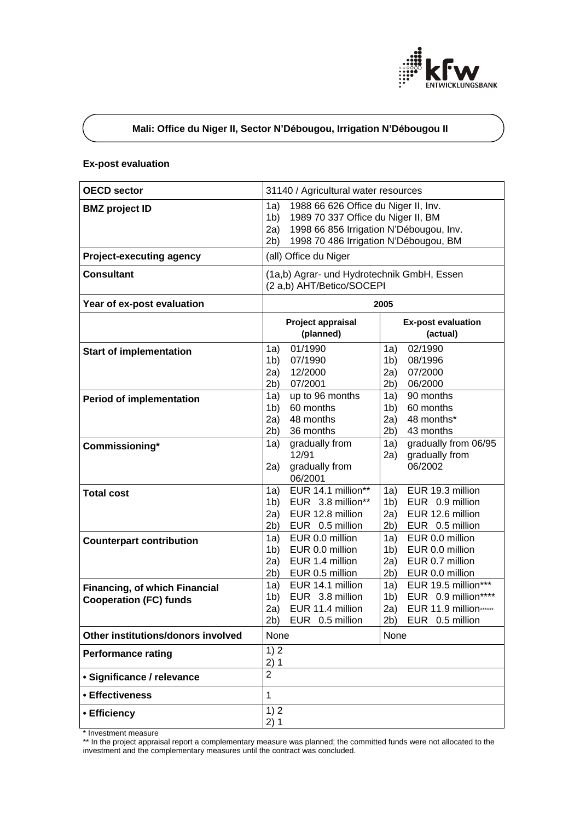

# **Mali: Office du Niger II, Sector N'Débougou, Irrigation N'Débougou II**

## **Ex-post evaluation**

| <b>OECD sector</b>                                                    | 31140 / Agricultural water resources                                                                                                                                                                                                                  |  |  |
|-----------------------------------------------------------------------|-------------------------------------------------------------------------------------------------------------------------------------------------------------------------------------------------------------------------------------------------------|--|--|
| <b>BMZ</b> project ID                                                 | 1a)<br>1988 66 626 Office du Niger II, Inv.<br>1989 70 337 Office du Niger II, BM<br>1 <sub>b</sub><br>1998 66 856 Irrigation N'Débougou, Inv.<br>2a)<br>1998 70 486 Irrigation N'Débougou, BM<br>2b)                                                 |  |  |
| <b>Project-executing agency</b>                                       | (all) Office du Niger                                                                                                                                                                                                                                 |  |  |
| <b>Consultant</b>                                                     | (1a,b) Agrar- und Hydrotechnik GmbH, Essen<br>(2 a,b) AHT/Betico/SOCEPI                                                                                                                                                                               |  |  |
| Year of ex-post evaluation                                            | 2005                                                                                                                                                                                                                                                  |  |  |
|                                                                       | Project appraisal<br><b>Ex-post evaluation</b><br>(planned)<br>(actual)                                                                                                                                                                               |  |  |
| <b>Start of implementation</b>                                        | 01/1990<br>02/1990<br>1a)<br>1a)<br>07/1990<br>08/1996<br>1 <sub>b</sub><br>1 <sub>b</sub><br>07/2000<br>2a)<br>12/2000<br>2a)<br>07/2001<br>06/2000<br>2b)<br>2b)                                                                                    |  |  |
| <b>Period of implementation</b>                                       | 90 months<br>up to 96 months<br>1a)<br>1a)<br>60 months<br>60 months<br>1 <sub>b</sub><br>1b)<br>48 months*<br>48 months<br>2a)<br>2a)<br>2b)<br>36 months<br>43 months<br>2b)                                                                        |  |  |
| Commissioning*                                                        | gradually from 06/95<br>gradually from<br>1a)<br>1a)<br>12/91<br>gradually from<br>2a)<br>06/2002<br>gradually from<br>2a)<br>06/2001                                                                                                                 |  |  |
| <b>Total cost</b>                                                     | EUR 14.1 million**<br>EUR 19.3 million<br>1a)<br>1a)<br>EUR 3.8 million**<br>EUR 0.9 million<br>1 <sub>b</sub><br>1 <sub>b</sub><br>EUR 12.6 million<br>EUR 12.8 million<br>2a)<br>2a)<br>EUR 0.5 million<br>EUR 0.5 million<br>2b)<br>2b)            |  |  |
| <b>Counterpart contribution</b>                                       | EUR 0.0 million<br>EUR 0.0 million<br>1a)<br>1a)<br>EUR 0.0 million<br>EUR 0.0 million<br>1 <sub>b</sub><br>1 <sub>b</sub><br>EUR 0.7 million<br>2a)<br>EUR 1.4 million<br>2a)<br>2b)<br>EUR 0.0 million<br>EUR 0.5 million<br>2b)                    |  |  |
| <b>Financing, of which Financial</b><br><b>Cooperation (FC) funds</b> | EUR 19.5 million***<br>EUR 14.1 million<br>1a)<br>1a)<br>EUR 0.9 million****<br>EUR 3.8 million<br>1 <sub>b</sub><br>1 <sub>b</sub><br>EUR 11.9 million ·······<br>EUR 11.4 million<br>2a)<br>2a)<br>2b)<br>2b)<br>EUR 0.5 million<br>EUR 0.5 million |  |  |
| Other institutions/donors involved                                    | None<br>None                                                                                                                                                                                                                                          |  |  |
| <b>Performance rating</b>                                             | 1)2<br>2)1                                                                                                                                                                                                                                            |  |  |
| · Significance / relevance                                            | $\overline{2}$                                                                                                                                                                                                                                        |  |  |
| • Effectiveness                                                       | $\mathbf{1}$                                                                                                                                                                                                                                          |  |  |
| • Efficiency                                                          | 1)2<br>2)1                                                                                                                                                                                                                                            |  |  |

\* Investment measure

\*\* In the project appraisal report a complementary measure was planned; the committed funds were not allocated to the investment and the complementary measures until the contract was concluded.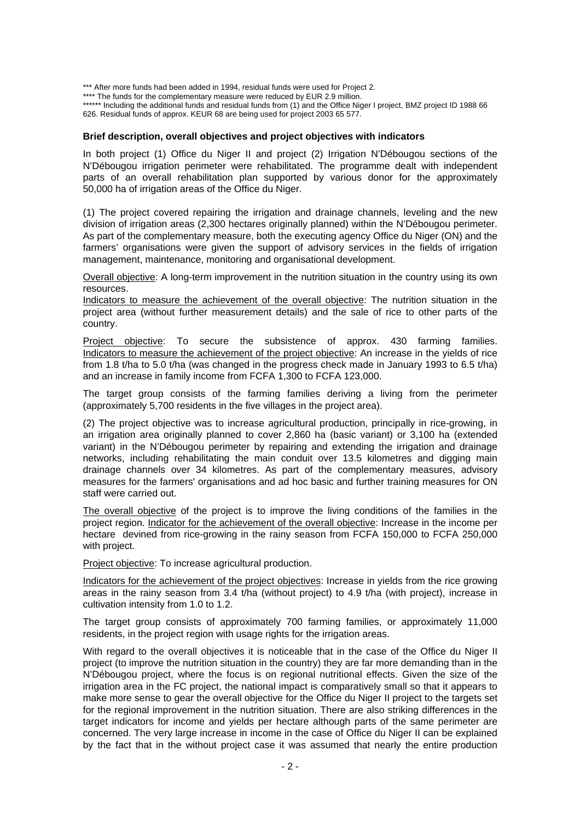\*\*\* After more funds had been added in 1994, residual funds were used for Project 2. \*\*\*\* The funds for the complementary measure were reduced by EUR 2.9 million. \*\*\*\*\*\* Including the additional funds and residual funds from (1) and the Office Niger I project, BMZ project ID 1988 66 626. Residual funds of approx. KEUR 68 are being used for project 2003 65 577.

#### **Brief description, overall objectives and project objectives with indicators**

In both project (1) Office du Niger II and project (2) Irrigation N'Débougou sections of the N'Débougou irrigation perimeter were rehabilitated. The programme dealt with independent parts of an overall rehabilitation plan supported by various donor for the approximately 50,000 ha of irrigation areas of the Office du Niger.

(1) The project covered repairing the irrigation and drainage channels, leveling and the new division of irrigation areas (2,300 hectares originally planned) within the N'Débougou perimeter. As part of the complementary measure, both the executing agency Office du Niger (ON) and the farmers' organisations were given the support of advisory services in the fields of irrigation management, maintenance, monitoring and organisational development.

Overall objective: A long-term improvement in the nutrition situation in the country using its own resources.

Indicators to measure the achievement of the overall objective: The nutrition situation in the project area (without further measurement details) and the sale of rice to other parts of the country.

Project objective: To secure the subsistence of approx. 430 farming families. Indicators to measure the achievement of the project objective: An increase in the yields of rice from 1.8 t/ha to 5.0 t/ha (was changed in the progress check made in January 1993 to 6.5 t/ha) and an increase in family income from FCFA 1,300 to FCFA 123,000.

The target group consists of the farming families deriving a living from the perimeter (approximately 5,700 residents in the five villages in the project area).

(2) The project objective was to increase agricultural production, principally in rice-growing, in an irrigation area originally planned to cover 2,860 ha (basic variant) or 3,100 ha (extended variant) in the N'Débougou perimeter by repairing and extending the irrigation and drainage networks, including rehabilitating the main conduit over 13.5 kilometres and digging main drainage channels over 34 kilometres. As part of the complementary measures, advisory measures for the farmers' organisations and ad hoc basic and further training measures for ON staff were carried out.

The overall objective of the project is to improve the living conditions of the families in the project region. Indicator for the achievement of the overall objective: Increase in the income per hectare devined from rice-growing in the rainy season from FCFA 150,000 to FCFA 250,000 with project.

Project objective: To increase agricultural production.

Indicators for the achievement of the project objectives: Increase in yields from the rice growing areas in the rainy season from 3.4 t/ha (without project) to 4.9 t/ha (with project), increase in cultivation intensity from 1.0 to 1.2.

The target group consists of approximately 700 farming families, or approximately 11,000 residents, in the project region with usage rights for the irrigation areas.

With regard to the overall objectives it is noticeable that in the case of the Office du Niger II project (to improve the nutrition situation in the country) they are far more demanding than in the N'Débougou project, where the focus is on regional nutritional effects. Given the size of the irrigation area in the FC project, the national impact is comparatively small so that it appears to make more sense to gear the overall objective for the Office du Niger II project to the targets set for the regional improvement in the nutrition situation. There are also striking differences in the target indicators for income and yields per hectare although parts of the same perimeter are concerned. The very large increase in income in the case of Office du Niger II can be explained by the fact that in the without project case it was assumed that nearly the entire production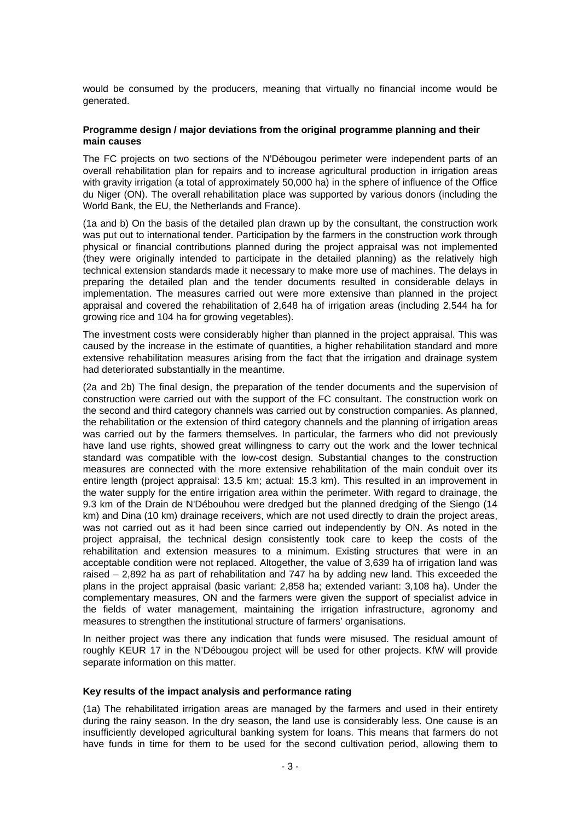would be consumed by the producers, meaning that virtually no financial income would be generated.

### **Programme design / major deviations from the original programme planning and their main causes**

The FC projects on two sections of the N'Débougou perimeter were independent parts of an overall rehabilitation plan for repairs and to increase agricultural production in irrigation areas with gravity irrigation (a total of approximately 50,000 ha) in the sphere of influence of the Office du Niger (ON). The overall rehabilitation place was supported by various donors (including the World Bank, the EU, the Netherlands and France).

(1a and b) On the basis of the detailed plan drawn up by the consultant, the construction work was put out to international tender. Participation by the farmers in the construction work through physical or financial contributions planned during the project appraisal was not implemented (they were originally intended to participate in the detailed planning) as the relatively high technical extension standards made it necessary to make more use of machines. The delays in preparing the detailed plan and the tender documents resulted in considerable delays in implementation. The measures carried out were more extensive than planned in the project appraisal and covered the rehabilitation of 2,648 ha of irrigation areas (including 2,544 ha for growing rice and 104 ha for growing vegetables).

The investment costs were considerably higher than planned in the project appraisal. This was caused by the increase in the estimate of quantities, a higher rehabilitation standard and more extensive rehabilitation measures arising from the fact that the irrigation and drainage system had deteriorated substantially in the meantime.

(2a and 2b) The final design, the preparation of the tender documents and the supervision of construction were carried out with the support of the FC consultant. The construction work on the second and third category channels was carried out by construction companies. As planned, the rehabilitation or the extension of third category channels and the planning of irrigation areas was carried out by the farmers themselves. In particular, the farmers who did not previously have land use rights, showed great willingness to carry out the work and the lower technical standard was compatible with the low-cost design. Substantial changes to the construction measures are connected with the more extensive rehabilitation of the main conduit over its entire length (project appraisal: 13.5 km; actual: 15.3 km). This resulted in an improvement in the water supply for the entire irrigation area within the perimeter. With regard to drainage, the 9.3 km of the Drain de N'Débouhou were dredged but the planned dredging of the Siengo (14 km) and Dina (10 km) drainage receivers, which are not used directly to drain the project areas, was not carried out as it had been since carried out independently by ON. As noted in the project appraisal, the technical design consistently took care to keep the costs of the rehabilitation and extension measures to a minimum. Existing structures that were in an acceptable condition were not replaced. Altogether, the value of 3,639 ha of irrigation land was raised – 2,892 ha as part of rehabilitation and 747 ha by adding new land. This exceeded the plans in the project appraisal (basic variant: 2,858 ha; extended variant: 3,108 ha). Under the complementary measures, ON and the farmers were given the support of specialist advice in the fields of water management, maintaining the irrigation infrastructure, agronomy and measures to strengthen the institutional structure of farmers' organisations.

In neither project was there any indication that funds were misused. The residual amount of roughly KEUR 17 in the N'Débougou project will be used for other projects. KfW will provide separate information on this matter.

#### **Key results of the impact analysis and performance rating**

(1a) The rehabilitated irrigation areas are managed by the farmers and used in their entirety during the rainy season. In the dry season, the land use is considerably less. One cause is an insufficiently developed agricultural banking system for loans. This means that farmers do not have funds in time for them to be used for the second cultivation period, allowing them to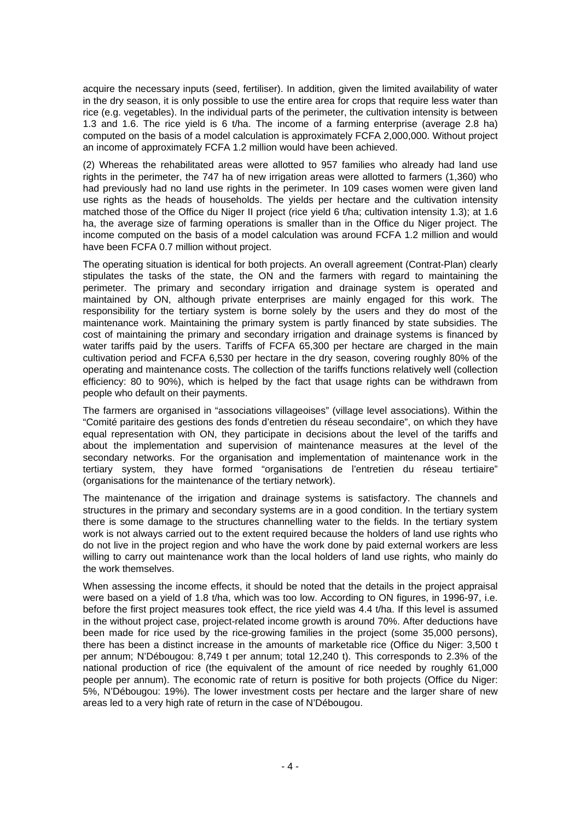acquire the necessary inputs (seed, fertiliser). In addition, given the limited availability of water in the dry season, it is only possible to use the entire area for crops that require less water than rice (e.g. vegetables). In the individual parts of the perimeter, the cultivation intensity is between 1.3 and 1.6. The rice yield is 6 t/ha. The income of a farming enterprise (average 2.8 ha) computed on the basis of a model calculation is approximately FCFA 2,000,000. Without project an income of approximately FCFA 1.2 million would have been achieved.

(2) Whereas the rehabilitated areas were allotted to 957 families who already had land use rights in the perimeter, the 747 ha of new irrigation areas were allotted to farmers (1,360) who had previously had no land use rights in the perimeter. In 109 cases women were given land use rights as the heads of households. The yields per hectare and the cultivation intensity matched those of the Office du Niger II project (rice yield 6 t/ha; cultivation intensity 1.3); at 1.6 ha, the average size of farming operations is smaller than in the Office du Niger project. The income computed on the basis of a model calculation was around FCFA 1.2 million and would have been FCFA 0.7 million without project.

The operating situation is identical for both projects. An overall agreement (Contrat-Plan) clearly stipulates the tasks of the state, the ON and the farmers with regard to maintaining the perimeter. The primary and secondary irrigation and drainage system is operated and maintained by ON, although private enterprises are mainly engaged for this work. The responsibility for the tertiary system is borne solely by the users and they do most of the maintenance work. Maintaining the primary system is partly financed by state subsidies. The cost of maintaining the primary and secondary irrigation and drainage systems is financed by water tariffs paid by the users. Tariffs of FCFA 65,300 per hectare are charged in the main cultivation period and FCFA 6,530 per hectare in the dry season, covering roughly 80% of the operating and maintenance costs. The collection of the tariffs functions relatively well (collection efficiency: 80 to 90%), which is helped by the fact that usage rights can be withdrawn from people who default on their payments.

The farmers are organised in "associations villageoises" (village level associations). Within the "Comité paritaire des gestions des fonds d'entretien du réseau secondaire", on which they have equal representation with ON, they participate in decisions about the level of the tariffs and about the implementation and supervision of maintenance measures at the level of the secondary networks. For the organisation and implementation of maintenance work in the tertiary system, they have formed "organisations de l'entretien du réseau tertiaire" (organisations for the maintenance of the tertiary network).

The maintenance of the irrigation and drainage systems is satisfactory. The channels and structures in the primary and secondary systems are in a good condition. In the tertiary system there is some damage to the structures channelling water to the fields. In the tertiary system work is not always carried out to the extent required because the holders of land use rights who do not live in the project region and who have the work done by paid external workers are less willing to carry out maintenance work than the local holders of land use rights, who mainly do the work themselves.

When assessing the income effects, it should be noted that the details in the project appraisal were based on a yield of 1.8 t/ha, which was too low. According to ON figures, in 1996-97, i.e. before the first project measures took effect, the rice yield was 4.4 t/ha. If this level is assumed in the without project case, project-related income growth is around 70%. After deductions have been made for rice used by the rice-growing families in the project (some 35,000 persons), there has been a distinct increase in the amounts of marketable rice (Office du Niger: 3,500 t per annum; N'Débougou: 8,749 t per annum; total 12,240 t). This corresponds to 2.3% of the national production of rice (the equivalent of the amount of rice needed by roughly 61,000 people per annum). The economic rate of return is positive for both projects (Office du Niger: 5%, N'Débougou: 19%). The lower investment costs per hectare and the larger share of new areas led to a very high rate of return in the case of N'Débougou.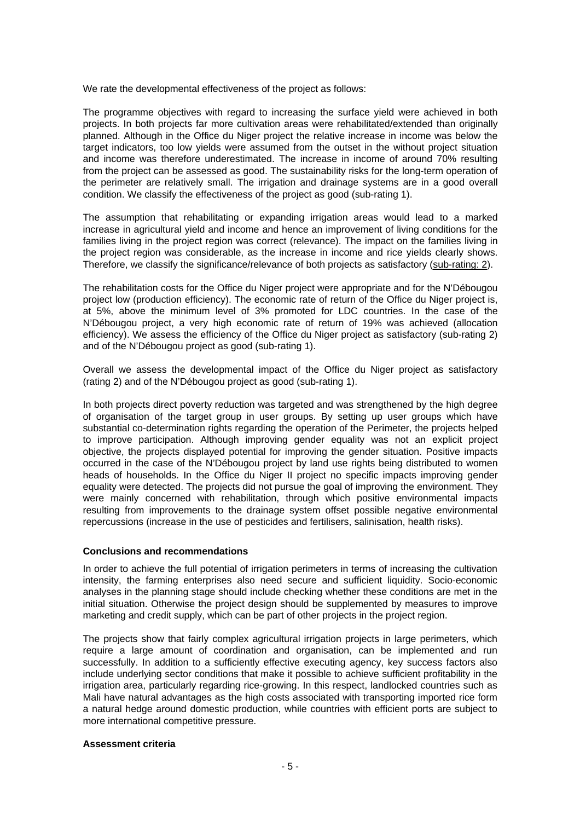We rate the developmental effectiveness of the project as follows:

The programme objectives with regard to increasing the surface yield were achieved in both projects. In both projects far more cultivation areas were rehabilitated/extended than originally planned. Although in the Office du Niger project the relative increase in income was below the target indicators, too low yields were assumed from the outset in the without project situation and income was therefore underestimated. The increase in income of around 70% resulting from the project can be assessed as good. The sustainability risks for the long-term operation of the perimeter are relatively small. The irrigation and drainage systems are in a good overall condition. We classify the effectiveness of the project as good (sub-rating 1).

The assumption that rehabilitating or expanding irrigation areas would lead to a marked increase in agricultural yield and income and hence an improvement of living conditions for the families living in the project region was correct (relevance). The impact on the families living in the project region was considerable, as the increase in income and rice yields clearly shows. Therefore, we classify the significance/relevance of both projects as satisfactory (sub-rating: 2).

The rehabilitation costs for the Office du Niger project were appropriate and for the N'Débougou project low (production efficiency). The economic rate of return of the Office du Niger project is, at 5%, above the minimum level of 3% promoted for LDC countries. In the case of the N'Débougou project, a very high economic rate of return of 19% was achieved (allocation efficiency). We assess the efficiency of the Office du Niger project as satisfactory (sub-rating 2) and of the N'Débougou project as good (sub-rating 1).

Overall we assess the developmental impact of the Office du Niger project as satisfactory (rating 2) and of the N'Débougou project as good (sub-rating 1).

In both projects direct poverty reduction was targeted and was strengthened by the high degree of organisation of the target group in user groups. By setting up user groups which have substantial co-determination rights regarding the operation of the Perimeter, the projects helped to improve participation. Although improving gender equality was not an explicit project objective, the projects displayed potential for improving the gender situation. Positive impacts occurred in the case of the N'Débougou project by land use rights being distributed to women heads of households. In the Office du Niger II project no specific impacts improving gender equality were detected. The projects did not pursue the goal of improving the environment. They were mainly concerned with rehabilitation, through which positive environmental impacts resulting from improvements to the drainage system offset possible negative environmental repercussions (increase in the use of pesticides and fertilisers, salinisation, health risks).

## **Conclusions and recommendations**

In order to achieve the full potential of irrigation perimeters in terms of increasing the cultivation intensity, the farming enterprises also need secure and sufficient liquidity. Socio-economic analyses in the planning stage should include checking whether these conditions are met in the initial situation. Otherwise the project design should be supplemented by measures to improve marketing and credit supply, which can be part of other projects in the project region.

The projects show that fairly complex agricultural irrigation projects in large perimeters, which require a large amount of coordination and organisation, can be implemented and run successfully. In addition to a sufficiently effective executing agency, key success factors also include underlying sector conditions that make it possible to achieve sufficient profitability in the irrigation area, particularly regarding rice-growing. In this respect, landlocked countries such as Mali have natural advantages as the high costs associated with transporting imported rice form a natural hedge around domestic production, while countries with efficient ports are subject to more international competitive pressure.

#### **Assessment criteria**